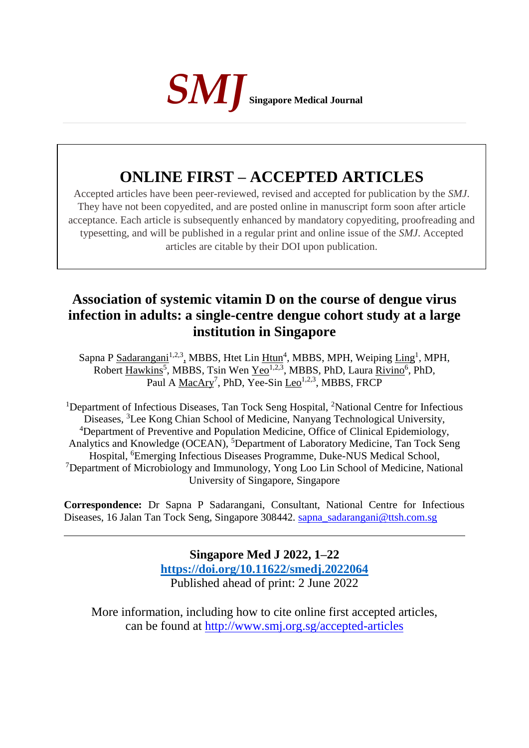

# **ONLINE FIRST – ACCEPTED ARTICLES**

Accepted articles have been peer-reviewed, revised and accepted for publication by the *SMJ*. They have not been copyedited, and are posted online in manuscript form soon after article acceptance. Each article is subsequently enhanced by mandatory copyediting, proofreading and typesetting, and will be published in a regular print and online issue of the *SMJ*. Accepted articles are citable by their DOI upon publication.

# **Association of systemic vitamin D on the course of dengue virus infection in adults: a single-centre dengue cohort study at a large institution in Singapore**

Sapna P Sadarangani<sup>1,2,3</sup>, MBBS, Htet Lin Htun<sup>4</sup>, MBBS, MPH, Weiping Ling<sup>1</sup>, MPH, Robert Hawkins<sup>5</sup>, MBBS, Tsin Wen Yeo<sup>1,2,3</sup>, MBBS, PhD, Laura Rivino<sup>6</sup>, PhD, Paul A MacAry<sup>7</sup>, PhD, Yee-Sin Leo<sup>1,2,3</sup>, MBBS, FRCP

<sup>1</sup>Department of Infectious Diseases, Tan Tock Seng Hospital, <sup>2</sup>National Centre for Infectious Diseases, <sup>3</sup>Lee Kong Chian School of Medicine, Nanyang Technological University, <sup>4</sup>Department of Preventive and Population Medicine, Office of Clinical Epidemiology, Analytics and Knowledge (OCEAN), <sup>5</sup>Department of Laboratory Medicine, Tan Tock Seng Hospital, <sup>6</sup>Emerging Infectious Diseases Programme, Duke-NUS Medical School, <sup>7</sup>Department of Microbiology and Immunology, Yong Loo Lin School of Medicine, National University of Singapore, Singapore

**Correspondence:** Dr Sapna P Sadarangani, Consultant, National Centre for Infectious Diseases, 16 Jalan Tan Tock Seng, Singapore 308442. [sapna\\_sadarangani@ttsh.com.sg](mailto:sapna_sadarangani@ttsh.com.sg)

> **Singapore Med J 2022, 1–22 [https://doi.org/1](https://doi.org/10.11622/smedj.2018150)0.11622/smedj.2022064** Published ahead of print: 2 June 2022

More information, including how to cite online first accepted articles, can be found at http://www.smj.org.sg/accepted-articles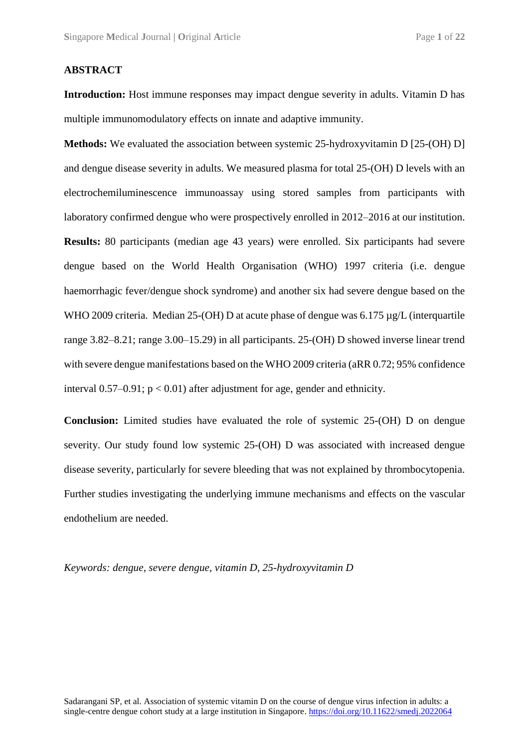#### **ABSTRACT**

**Introduction:** Host immune responses may impact dengue severity in adults. Vitamin D has multiple immunomodulatory effects on innate and adaptive immunity.

**Methods:** We evaluated the association between systemic 25-hydroxyvitamin D [25-(OH) D] and dengue disease severity in adults. We measured plasma for total 25-(OH) D levels with an electrochemiluminescence immunoassay using stored samples from participants with laboratory confirmed dengue who were prospectively enrolled in 2012–2016 at our institution. **Results:** 80 participants (median age 43 years) were enrolled. Six participants had severe dengue based on the World Health Organisation (WHO) 1997 criteria (i.e. dengue haemorrhagic fever/dengue shock syndrome) and another six had severe dengue based on the WHO 2009 criteria. Median 25-(OH) D at acute phase of dengue was 6.175  $\mu$ g/L (interquartile range 3.82–8.21; range 3.00–15.29) in all participants. 25-(OH) D showed inverse linear trend with severe dengue manifestations based on the WHO 2009 criteria (aRR 0.72; 95% confidence interval  $0.57-0.91$ ;  $p < 0.01$ ) after adjustment for age, gender and ethnicity.

**Conclusion:** Limited studies have evaluated the role of systemic 25-(OH) D on dengue severity. Our study found low systemic 25-(OH) D was associated with increased dengue disease severity, particularly for severe bleeding that was not explained by thrombocytopenia. Further studies investigating the underlying immune mechanisms and effects on the vascular endothelium are needed.

*Keywords: dengue, severe dengue, vitamin D, 25-hydroxyvitamin D*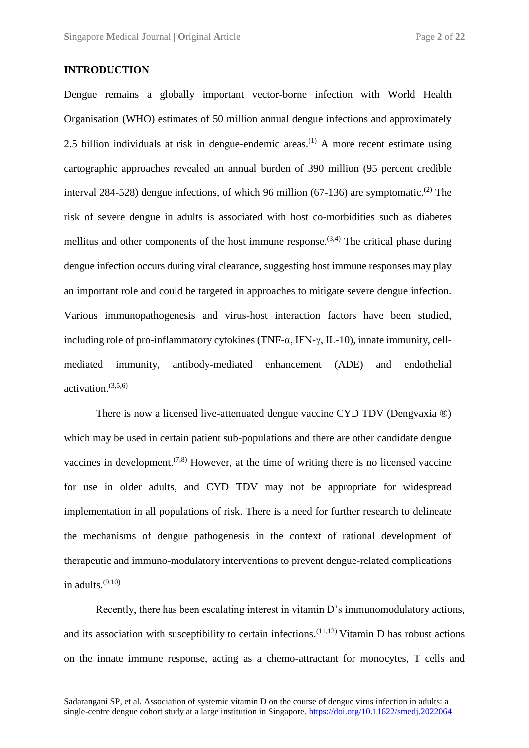#### **INTRODUCTION**

Dengue remains a globally important vector-borne infection with World Health Organisation (WHO) estimates of 50 million annual dengue infections and approximately 2.5 billion individuals at risk in dengue-endemic areas.<sup>(1)</sup> A more recent estimate using cartographic approaches revealed an annual burden of 390 million (95 percent credible interval 284-528) dengue infections, of which 96 million  $(67-136)$  are symptomatic.<sup>(2)</sup> The risk of severe dengue in adults is associated with host co-morbidities such as diabetes mellitus and other components of the host immune response.  $(3,4)$  The critical phase during dengue infection occurs during viral clearance, suggesting host immune responses may play an important role and could be targeted in approaches to mitigate severe dengue infection. Various immunopathogenesis and virus-host interaction factors have been studied, including role of pro-inflammatory cytokines (TNF-α, IFN-γ, IL-10), innate immunity, cellmediated immunity, antibody-mediated enhancement (ADE) and endothelial activation. (3,5,6)

There is now a licensed live-attenuated dengue vaccine CYD TDV (Dengvaxia ®) which may be used in certain patient sub-populations and there are other candidate dengue vaccines in development.<sup> $(7,8)$ </sup> However, at the time of writing there is no licensed vaccine for use in older adults, and CYD TDV may not be appropriate for widespread implementation in all populations of risk. There is a need for further research to delineate the mechanisms of dengue pathogenesis in the context of rational development of therapeutic and immuno-modulatory interventions to prevent dengue-related complications in adults. (9,10)

Recently, there has been escalating interest in vitamin D's immunomodulatory actions, and its association with susceptibility to certain infections.  $(11,12)$  Vitamin D has robust actions on the innate immune response, acting as a chemo-attractant for monocytes, T cells and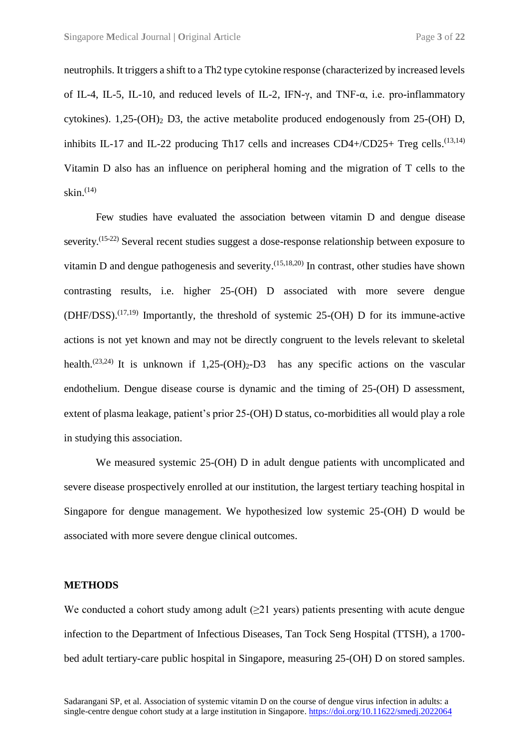neutrophils. It triggers a shift to a Th2 type cytokine response (characterized by increased levels of IL-4, IL-5, IL-10, and reduced levels of IL-2, IFN-γ, and TNF-α, i.e. pro-inflammatory cytokines).  $1,25-(OH)_2$  D3, the active metabolite produced endogenously from 25-(OH) D, inhibits IL-17 and IL-22 producing Th17 cells and increases CD4+/CD25+ Treg cells.<sup>(13,14)</sup> Vitamin D also has an influence on peripheral homing and the migration of T cells to the skin. (14)

Few studies have evaluated the association between vitamin D and dengue disease severity.<sup>(15-22)</sup> Several recent studies suggest a dose-response relationship between exposure to vitamin D and dengue pathogenesis and severity. $(15,18,20)$  In contrast, other studies have shown contrasting results, i.e. higher 25-(OH) D associated with more severe dengue  $(DHF/DSS)$ .<sup>(17,19)</sup> Importantly, the threshold of systemic 25-(OH) D for its immune-active actions is not yet known and may not be directly congruent to the levels relevant to skeletal health.<sup>(23,24)</sup> It is unknown if  $1,25-(OH)_2-D3$  has any specific actions on the vascular endothelium. Dengue disease course is dynamic and the timing of 25-(OH) D assessment, extent of plasma leakage, patient's prior 25-(OH) D status, co-morbidities all would play a role in studying this association.

We measured systemic 25-(OH) D in adult dengue patients with uncomplicated and severe disease prospectively enrolled at our institution, the largest tertiary teaching hospital in Singapore for dengue management. We hypothesized low systemic 25-(OH) D would be associated with more severe dengue clinical outcomes.

#### **METHODS**

We conducted a cohort study among adult  $(>= 21$  years) patients presenting with acute dengue infection to the Department of Infectious Diseases, Tan Tock Seng Hospital (TTSH), a 1700 bed adult tertiary-care public hospital in Singapore, measuring 25-(OH) D on stored samples.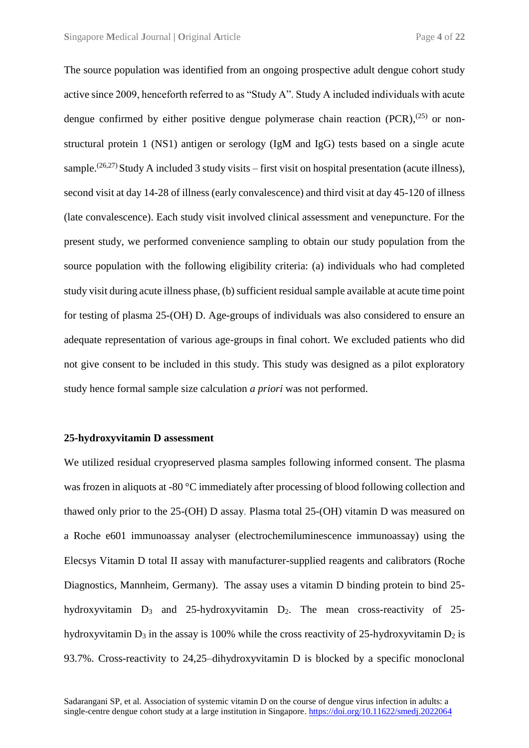The source population was identified from an ongoing prospective adult dengue cohort study active since 2009, henceforth referred to as "Study A". Study A included individuals with acute dengue confirmed by either positive dengue polymerase chain reaction  $(PCR)$ ,<sup> $(25)$ </sup> or nonstructural protein 1 (NS1) antigen or serology (IgM and IgG) tests based on a single acute sample.<sup>(26,27)</sup> Study A included 3 study visits – first visit on hospital presentation (acute illness), second visit at day 14-28 of illness (early convalescence) and third visit at day 45-120 of illness (late convalescence). Each study visit involved clinical assessment and venepuncture. For the present study, we performed convenience sampling to obtain our study population from the source population with the following eligibility criteria: (a) individuals who had completed study visit during acute illness phase, (b) sufficient residual sample available at acute time point for testing of plasma 25-(OH) D. Age-groups of individuals was also considered to ensure an adequate representation of various age-groups in final cohort. We excluded patients who did not give consent to be included in this study. This study was designed as a pilot exploratory study hence formal sample size calculation *a priori* was not performed.

#### **25-hydroxyvitamin D assessment**

We utilized residual cryopreserved plasma samples following informed consent. The plasma was frozen in aliquots at -80 °C immediately after processing of blood following collection and thawed only prior to the 25-(OH) D assay. Plasma total 25-(OH) vitamin D was measured on a Roche e601 immunoassay analyser (electrochemiluminescence immunoassay) using the Elecsys Vitamin D total II assay with manufacturer-supplied reagents and calibrators (Roche Diagnostics, Mannheim, Germany). The assay uses a vitamin D binding protein to bind 25 hydroxyvitamin  $D_3$  and 25-hydroxyvitamin  $D_2$ . The mean cross-reactivity of 25hydroxyvitamin  $D_3$  in the assay is 100% while the cross reactivity of 25-hydroxyvitamin  $D_2$  is 93.7%. Cross-reactivity to 24,25–dihydroxyvitamin D is blocked by a specific monoclonal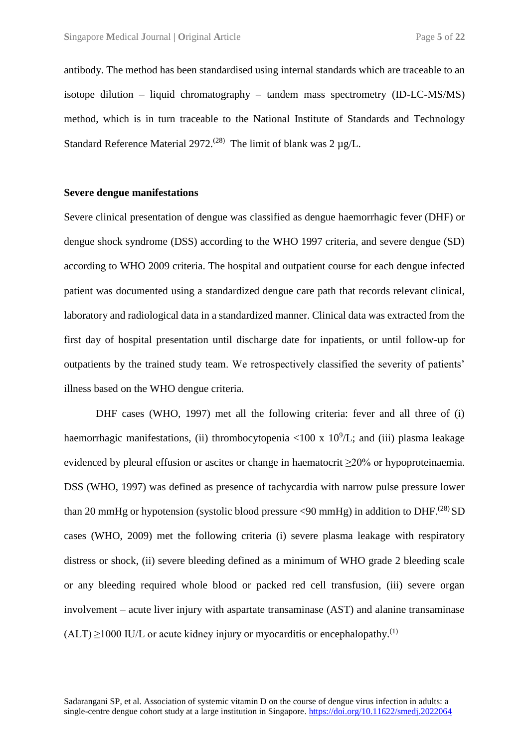antibody. The method has been standardised using internal standards which are traceable to an isotope dilution – liquid chromatography – tandem mass spectrometry (ID-LC-MS/MS) method, which is in turn traceable to the National Institute of Standards and Technology Standard Reference Material 2972.<sup>(28)</sup> The limit of blank was  $2 \mu g/L$ .

### **Severe dengue manifestations**

Severe clinical presentation of dengue was classified as dengue haemorrhagic fever (DHF) or dengue shock syndrome (DSS) according to the WHO 1997 criteria, and severe dengue (SD) according to WHO 2009 criteria. The hospital and outpatient course for each dengue infected patient was documented using a standardized dengue care path that records relevant clinical, laboratory and radiological data in a standardized manner. Clinical data was extracted from the first day of hospital presentation until discharge date for inpatients, or until follow-up for outpatients by the trained study team. We retrospectively classified the severity of patients' illness based on the WHO dengue criteria.

DHF cases (WHO, 1997) met all the following criteria: fever and all three of (i) haemorrhagic manifestations, (ii) thrombocytopenia <100 x  $10^9$ /L; and (iii) plasma leakage evidenced by pleural effusion or ascites or change in haematocrit ≥20% or hypoproteinaemia. DSS (WHO, 1997) was defined as presence of tachycardia with narrow pulse pressure lower than 20 mmHg or hypotension (systolic blood pressure  $\langle 90 \text{ mmHg} \rangle$  in addition to DHF.<sup>(28)</sup> SD cases (WHO, 2009) met the following criteria (i) severe plasma leakage with respiratory distress or shock, (ii) severe bleeding defined as a minimum of WHO grade 2 bleeding scale or any bleeding required whole blood or packed red cell transfusion, (iii) severe organ involvement – acute liver injury with aspartate transaminase (AST) and alanine transaminase  $(ALT) \ge 1000 \text{ IU/L}$  or acute kidney injury or myocarditis or encephalopathy.<sup>(1)</sup>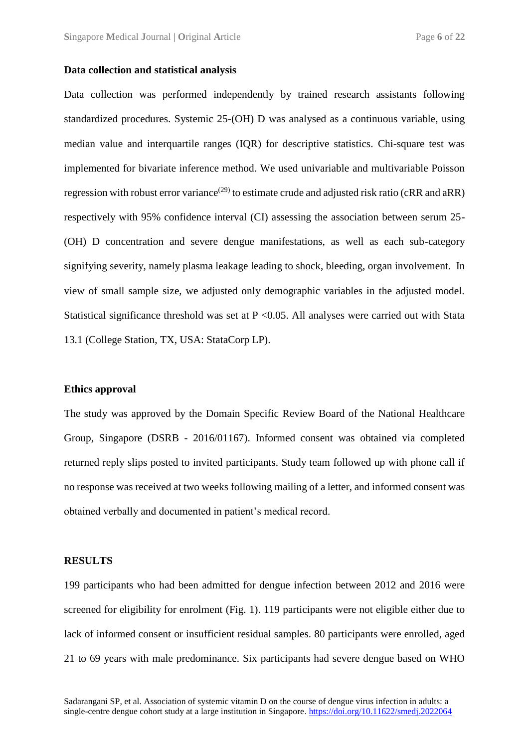#### **Data collection and statistical analysis**

Data collection was performed independently by trained research assistants following standardized procedures. Systemic 25-(OH) D was analysed as a continuous variable, using median value and interquartile ranges (IQR) for descriptive statistics. Chi-square test was implemented for bivariate inference method. We used univariable and multivariable Poisson regression with robust error variance<sup>(29)</sup> to estimate crude and adjusted risk ratio (cRR and aRR) respectively with 95% confidence interval (CI) assessing the association between serum 25- (OH) D concentration and severe dengue manifestations, as well as each sub-category signifying severity, namely plasma leakage leading to shock, bleeding, organ involvement. In view of small sample size, we adjusted only demographic variables in the adjusted model. Statistical significance threshold was set at  $P \le 0.05$ . All analyses were carried out with Stata 13.1 (College Station, TX, USA: StataCorp LP).

#### **Ethics approval**

The study was approved by the Domain Specific Review Board of the National Healthcare Group, Singapore (DSRB - 2016/01167). Informed consent was obtained via completed returned reply slips posted to invited participants. Study team followed up with phone call if no response was received at two weeks following mailing of a letter, and informed consent was obtained verbally and documented in patient's medical record.

#### **RESULTS**

199 participants who had been admitted for dengue infection between 2012 and 2016 were screened for eligibility for enrolment (Fig. 1). 119 participants were not eligible either due to lack of informed consent or insufficient residual samples. 80 participants were enrolled, aged 21 to 69 years with male predominance. Six participants had severe dengue based on WHO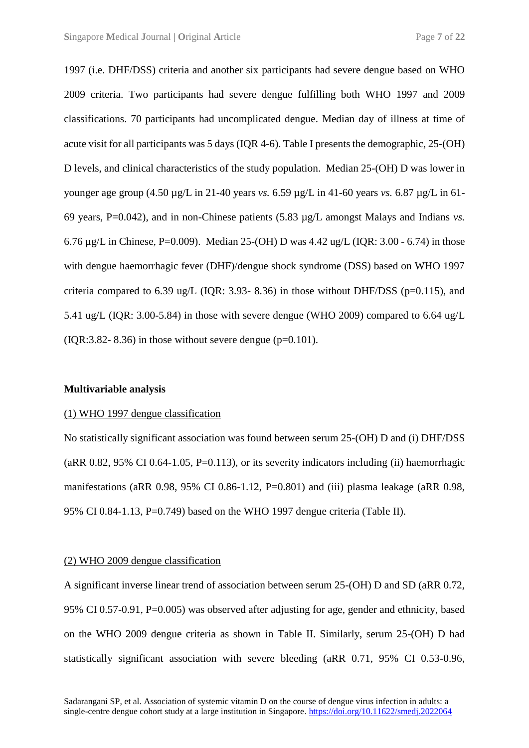1997 (i.e. DHF/DSS) criteria and another six participants had severe dengue based on WHO 2009 criteria. Two participants had severe dengue fulfilling both WHO 1997 and 2009 classifications. 70 participants had uncomplicated dengue. Median day of illness at time of acute visit for all participants was 5 days (IQR 4-6). Table I presents the demographic, 25-(OH) D levels, and clinical characteristics of the study population. Median 25-(OH) D was lower in younger age group (4.50 µg/L in 21-40 years *vs.* 6.59 µg/L in 41-60 years *vs.* 6.87 µg/L in 61- 69 years, P=0.042), and in non-Chinese patients (5.83 µg/L amongst Malays and Indians *vs.* 6.76 µg/L in Chinese, P=0.009). Median 25-(OH) D was 4.42 ug/L (IQR: 3.00 - 6.74) in those with dengue haemorrhagic fever (DHF)/dengue shock syndrome (DSS) based on WHO 1997 criteria compared to 6.39 ug/L (IOR: 3.93- 8.36) in those without DHF/DSS ( $p=0.115$ ), and 5.41 ug/L (IQR: 3.00-5.84) in those with severe dengue (WHO 2009) compared to 6.64 ug/L  $(IOR:3.82-8.36)$  in those without severe dengue  $(p=0.101)$ .

#### **Multivariable analysis**

#### (1) WHO 1997 dengue classification

No statistically significant association was found between serum 25-(OH) D and (i) DHF/DSS  $(aRR 0.82, 95\% \text{ CI } 0.64-1.05, P=0.113)$ , or its severity indicators including (ii) haemorrhagic manifestations (aRR 0.98, 95% CI 0.86-1.12, P=0.801) and (iii) plasma leakage (aRR 0.98, 95% CI 0.84-1.13, P=0.749) based on the WHO 1997 dengue criteria (Table II).

#### (2) WHO 2009 dengue classification

A significant inverse linear trend of association between serum 25-(OH) D and SD (aRR 0.72, 95% CI 0.57-0.91, P=0.005) was observed after adjusting for age, gender and ethnicity, based on the WHO 2009 dengue criteria as shown in Table II. Similarly, serum 25-(OH) D had statistically significant association with severe bleeding (aRR 0.71, 95% CI 0.53-0.96,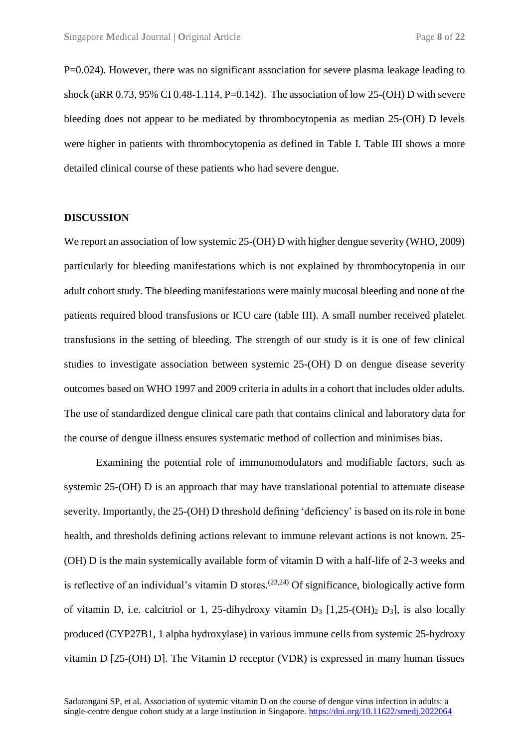P=0.024). However, there was no significant association for severe plasma leakage leading to shock (aRR  $0.73$ ,  $95\%$  CI  $0.48$ -1.114, P=0.142). The association of low 25-(OH) D with severe bleeding does not appear to be mediated by thrombocytopenia as median 25-(OH) D levels were higher in patients with thrombocytopenia as defined in Table I. Table III shows a more detailed clinical course of these patients who had severe dengue.

#### **DISCUSSION**

We report an association of low systemic 25-(OH) D with higher dengue severity (WHO, 2009) particularly for bleeding manifestations which is not explained by thrombocytopenia in our adult cohort study. The bleeding manifestations were mainly mucosal bleeding and none of the patients required blood transfusions or ICU care (table III). A small number received platelet transfusions in the setting of bleeding. The strength of our study is it is one of few clinical studies to investigate association between systemic 25-(OH) D on dengue disease severity outcomes based on WHO 1997 and 2009 criteria in adults in a cohort that includes older adults. The use of standardized dengue clinical care path that contains clinical and laboratory data for the course of dengue illness ensures systematic method of collection and minimises bias.

Examining the potential role of immunomodulators and modifiable factors, such as systemic 25-(OH) D is an approach that may have translational potential to attenuate disease severity. Importantly, the 25-(OH) D threshold defining 'deficiency' is based on its role in bone health, and thresholds defining actions relevant to immune relevant actions is not known. 25- (OH) D is the main systemically available form of vitamin D with a half-life of 2-3 weeks and is reflective of an individual's vitamin D stores.<sup> $(23,24)$ </sup> Of significance, biologically active form of vitamin D, i.e. calcitriol or 1, 25-dihydroxy vitamin  $D_3$  [1,25-(OH)<sub>2</sub> D<sub>3</sub>], is also locally produced (CYP27B1, 1 alpha hydroxylase) in various immune cells from systemic 25-hydroxy vitamin D [25-(OH) D]. The Vitamin D receptor (VDR) is expressed in many human tissues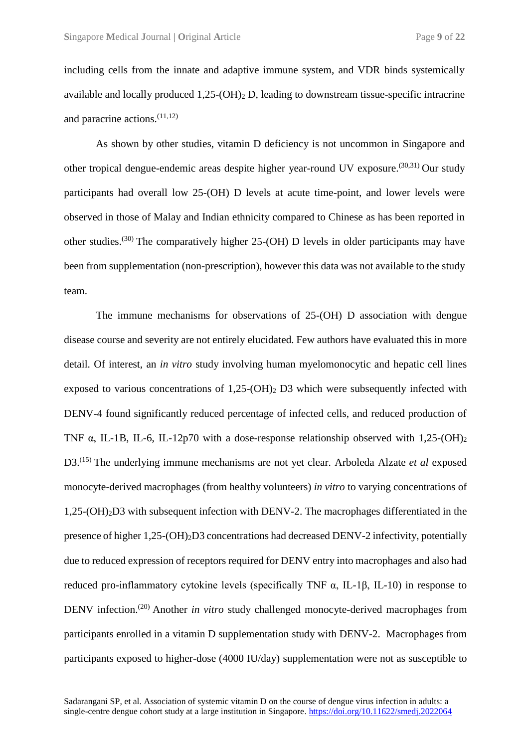including cells from the innate and adaptive immune system, and VDR binds systemically available and locally produced  $1.25-(OH)_{2}$  D, leading to downstream tissue-specific intracrine and paracrine actions.(11,12)

As shown by other studies, vitamin D deficiency is not uncommon in Singapore and other tropical dengue-endemic areas despite higher year-round UV exposure.<sup> $(30,31)$ </sup> Our study participants had overall low 25-(OH) D levels at acute time-point, and lower levels were observed in those of Malay and Indian ethnicity compared to Chinese as has been reported in other studies.<sup>(30)</sup> The comparatively higher  $25$ -(OH) D levels in older participants may have been from supplementation (non-prescription), however this data was not available to the study team.

The immune mechanisms for observations of 25-(OH) D association with dengue disease course and severity are not entirely elucidated. Few authors have evaluated this in more detail. Of interest, an *in vitro* study involving human myelomonocytic and hepatic cell lines exposed to various concentrations of  $1,25$ -(OH)<sub>2</sub> D3 which were subsequently infected with DENV-4 found significantly reduced percentage of infected cells, and reduced production of TNF  $\alpha$ , IL-1B, IL-6, IL-12p70 with a dose-response relationship observed with 1,25-(OH)<sub>2</sub> D3.<sup>(15)</sup> The underlying immune mechanisms are not yet clear. Arboleda Alzate *et al* exposed monocyte-derived macrophages (from healthy volunteers) *in vitro* to varying concentrations of 1,25-(OH)2D3 with subsequent infection with DENV-2. The macrophages differentiated in the presence of higher 1,25-(OH)2D3 concentrations had decreased DENV-2 infectivity, potentially due to reduced expression of receptors required for DENV entry into macrophages and also had reduced pro-inflammatory cytokine levels (specifically TNF α, IL-1β, IL-10) in response to DENV infection.<sup>(20)</sup> Another *in vitro* study challenged monocyte-derived macrophages from participants enrolled in a vitamin D supplementation study with DENV-2. Macrophages from participants exposed to higher-dose (4000 IU/day) supplementation were not as susceptible to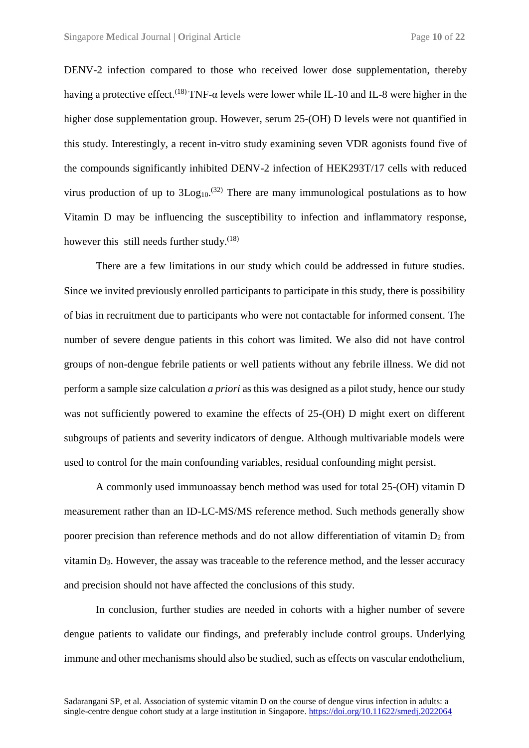DENV-2 infection compared to those who received lower dose supplementation, thereby having a protective effect.<sup>(18)</sup> TNF- $\alpha$  levels were lower while IL-10 and IL-8 were higher in the higher dose supplementation group. However, serum 25-(OH) D levels were not quantified in this study. Interestingly, a recent in-vitro study examining seven VDR agonists found five of the compounds significantly inhibited DENV-2 infection of HEK293T/17 cells with reduced virus production of up to  $3Log_{10}$ .<sup>(32)</sup> There are many immunological postulations as to how Vitamin D may be influencing the susceptibility to infection and inflammatory response, however this still needs further study.<sup>(18)</sup>

There are a few limitations in our study which could be addressed in future studies. Since we invited previously enrolled participants to participate in this study, there is possibility of bias in recruitment due to participants who were not contactable for informed consent. The number of severe dengue patients in this cohort was limited. We also did not have control groups of non-dengue febrile patients or well patients without any febrile illness. We did not perform a sample size calculation *a priori* as this was designed as a pilot study, hence our study was not sufficiently powered to examine the effects of 25-(OH) D might exert on different subgroups of patients and severity indicators of dengue. Although multivariable models were used to control for the main confounding variables, residual confounding might persist.

A commonly used immunoassay bench method was used for total 25-(OH) vitamin D measurement rather than an ID-LC-MS/MS reference method. Such methods generally show poorer precision than reference methods and do not allow differentiation of vitamin  $D_2$  from vitamin  $D_3$ . However, the assay was traceable to the reference method, and the lesser accuracy and precision should not have affected the conclusions of this study.

In conclusion, further studies are needed in cohorts with a higher number of severe dengue patients to validate our findings, and preferably include control groups. Underlying immune and other mechanisms should also be studied, such as effects on vascular endothelium,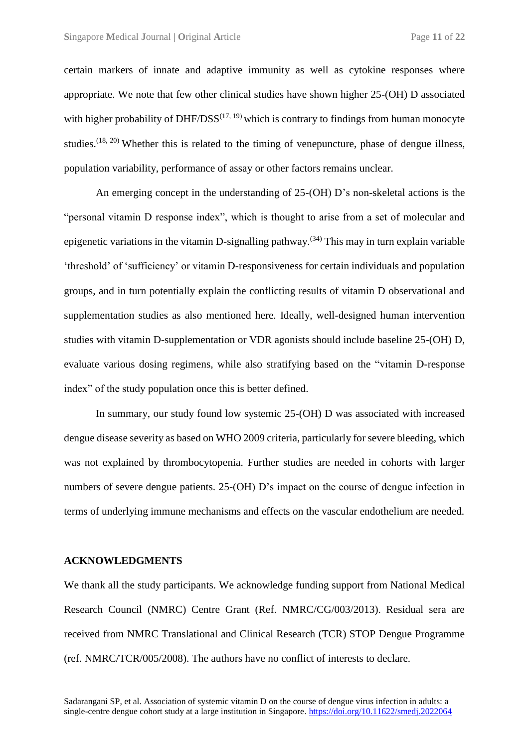certain markers of innate and adaptive immunity as well as cytokine responses where appropriate. We note that few other clinical studies have shown higher 25-(OH) D associated with higher probability of DHF/DSS<sup> $(17, 19)$ </sup> which is contrary to findings from human monocyte studies.<sup> $(18, 20)$ </sup> Whether this is related to the timing of venepuncture, phase of dengue illness, population variability, performance of assay or other factors remains unclear.

An emerging concept in the understanding of 25-(OH) D's non-skeletal actions is the "personal vitamin D response index", which is thought to arise from a set of molecular and epigenetic variations in the vitamin D-signalling pathway.<sup> $(34)$ </sup> This may in turn explain variable 'threshold' of 'sufficiency' or vitamin D-responsiveness for certain individuals and population groups, and in turn potentially explain the conflicting results of vitamin D observational and supplementation studies as also mentioned here. Ideally, well-designed human intervention studies with vitamin D-supplementation or VDR agonists should include baseline 25-(OH) D, evaluate various dosing regimens, while also stratifying based on the "vitamin D-response index" of the study population once this is better defined.

In summary, our study found low systemic 25-(OH) D was associated with increased dengue disease severity as based on WHO 2009 criteria, particularly for severe bleeding, which was not explained by thrombocytopenia. Further studies are needed in cohorts with larger numbers of severe dengue patients. 25-(OH) D's impact on the course of dengue infection in terms of underlying immune mechanisms and effects on the vascular endothelium are needed.

#### **ACKNOWLEDGMENTS**

We thank all the study participants. We acknowledge funding support from National Medical Research Council (NMRC) Centre Grant (Ref. NMRC/CG/003/2013). Residual sera are received from NMRC Translational and Clinical Research (TCR) STOP Dengue Programme (ref. NMRC/TCR/005/2008). The authors have no conflict of interests to declare.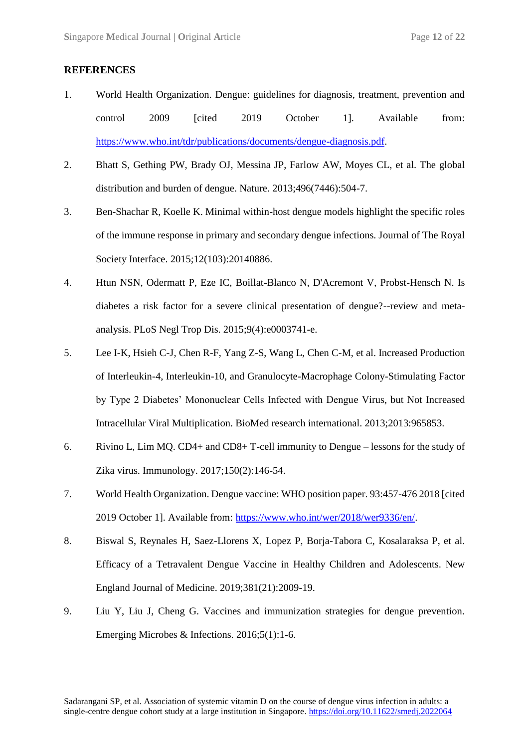#### **REFERENCES**

- 1. World Health Organization. Dengue: guidelines for diagnosis, treatment, prevention and control 2009 [cited 2019 October 1]. Available from: https://www.who.int/tdr/publications/documents/dengue-diagnosis.pdf.
- 2. Bhatt S, Gething PW, Brady OJ, Messina JP, Farlow AW, Moyes CL, et al. The global distribution and burden of dengue. Nature. 2013;496(7446):504-7.
- 3. Ben-Shachar R, Koelle K. Minimal within-host dengue models highlight the specific roles of the immune response in primary and secondary dengue infections. Journal of The Royal Society Interface. 2015;12(103):20140886.
- 4. Htun NSN, Odermatt P, Eze IC, Boillat-Blanco N, D'Acremont V, Probst-Hensch N. Is diabetes a risk factor for a severe clinical presentation of dengue?--review and metaanalysis. PLoS Negl Trop Dis. 2015;9(4):e0003741-e.
- 5. Lee I-K, Hsieh C-J, Chen R-F, Yang Z-S, Wang L, Chen C-M, et al. Increased Production of Interleukin-4, Interleukin-10, and Granulocyte-Macrophage Colony-Stimulating Factor by Type 2 Diabetes' Mononuclear Cells Infected with Dengue Virus, but Not Increased Intracellular Viral Multiplication. BioMed research international. 2013;2013:965853.
- 6. Rivino L, Lim MQ. CD4+ and CD8+ T-cell immunity to Dengue lessons for the study of Zika virus. Immunology. 2017;150(2):146-54.
- 7. World Health Organization. Dengue vaccine: WHO position paper. 93:457-476 2018 [cited 2019 October 1]. Available from: https://www.who.int/wer/2018/wer9336/en/.
- 8. Biswal S, Reynales H, Saez-Llorens X, Lopez P, Borja-Tabora C, Kosalaraksa P, et al. Efficacy of a Tetravalent Dengue Vaccine in Healthy Children and Adolescents. New England Journal of Medicine. 2019;381(21):2009-19.
- 9. Liu Y, Liu J, Cheng G. Vaccines and immunization strategies for dengue prevention. Emerging Microbes & Infections. 2016;5(1):1-6.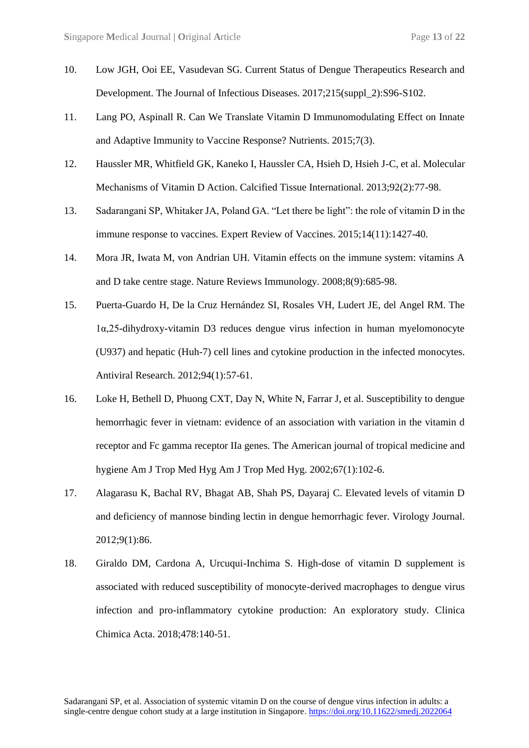- 10. Low JGH, Ooi EE, Vasudevan SG. Current Status of Dengue Therapeutics Research and Development. The Journal of Infectious Diseases. 2017;215(suppl\_2):S96-S102.
- 11. Lang PO, Aspinall R. Can We Translate Vitamin D Immunomodulating Effect on Innate and Adaptive Immunity to Vaccine Response? Nutrients. 2015;7(3).
- 12. Haussler MR, Whitfield GK, Kaneko I, Haussler CA, Hsieh D, Hsieh J-C, et al. Molecular Mechanisms of Vitamin D Action. Calcified Tissue International. 2013;92(2):77-98.
- 13. Sadarangani SP, Whitaker JA, Poland GA. "Let there be light": the role of vitamin D in the immune response to vaccines. Expert Review of Vaccines. 2015;14(11):1427-40.
- 14. Mora JR, Iwata M, von Andrian UH. Vitamin effects on the immune system: vitamins A and D take centre stage. Nature Reviews Immunology. 2008;8(9):685-98.
- 15. Puerta-Guardo H, De la Cruz Hernández SI, Rosales VH, Ludert JE, del Angel RM. The 1α,25-dihydroxy-vitamin D3 reduces dengue virus infection in human myelomonocyte (U937) and hepatic (Huh-7) cell lines and cytokine production in the infected monocytes. Antiviral Research. 2012;94(1):57-61.
- 16. Loke H, Bethell D, Phuong CXT, Day N, White N, Farrar J, et al. Susceptibility to dengue hemorrhagic fever in vietnam: evidence of an association with variation in the vitamin d receptor and Fc gamma receptor IIa genes. The American journal of tropical medicine and hygiene Am J Trop Med Hyg Am J Trop Med Hyg. 2002;67(1):102-6.
- 17. Alagarasu K, Bachal RV, Bhagat AB, Shah PS, Dayaraj C. Elevated levels of vitamin D and deficiency of mannose binding lectin in dengue hemorrhagic fever. Virology Journal. 2012;9(1):86.
- 18. Giraldo DM, Cardona A, Urcuqui-Inchima S. High-dose of vitamin D supplement is associated with reduced susceptibility of monocyte-derived macrophages to dengue virus infection and pro-inflammatory cytokine production: An exploratory study. Clinica Chimica Acta. 2018;478:140-51.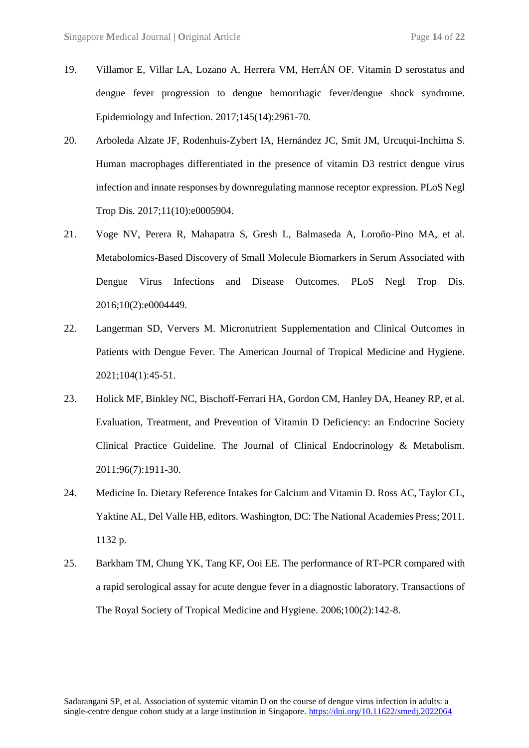- 19. Villamor E, Villar LA, Lozano A, Herrera VM, HerrÁN OF. Vitamin D serostatus and dengue fever progression to dengue hemorrhagic fever/dengue shock syndrome. Epidemiology and Infection. 2017;145(14):2961-70.
- 20. Arboleda Alzate JF, Rodenhuis-Zybert IA, Hernández JC, Smit JM, Urcuqui-Inchima S. Human macrophages differentiated in the presence of vitamin D3 restrict dengue virus infection and innate responses by downregulating mannose receptor expression. PLoS Negl Trop Dis. 2017;11(10):e0005904.
- 21. Voge NV, Perera R, Mahapatra S, Gresh L, Balmaseda A, Loroño-Pino MA, et al. Metabolomics-Based Discovery of Small Molecule Biomarkers in Serum Associated with Dengue Virus Infections and Disease Outcomes. PLoS Negl Trop Dis. 2016;10(2):e0004449.
- 22. Langerman SD, Ververs M. Micronutrient Supplementation and Clinical Outcomes in Patients with Dengue Fever. The American Journal of Tropical Medicine and Hygiene. 2021;104(1):45-51.
- 23. Holick MF, Binkley NC, Bischoff-Ferrari HA, Gordon CM, Hanley DA, Heaney RP, et al. Evaluation, Treatment, and Prevention of Vitamin D Deficiency: an Endocrine Society Clinical Practice Guideline. The Journal of Clinical Endocrinology & Metabolism. 2011;96(7):1911-30.
- 24. Medicine Io. Dietary Reference Intakes for Calcium and Vitamin D. Ross AC, Taylor CL, Yaktine AL, Del Valle HB, editors. Washington, DC: The National Academies Press; 2011. 1132 p.
- 25. Barkham TM, Chung YK, Tang KF, Ooi EE. The performance of RT-PCR compared with a rapid serological assay for acute dengue fever in a diagnostic laboratory. Transactions of The Royal Society of Tropical Medicine and Hygiene. 2006;100(2):142-8.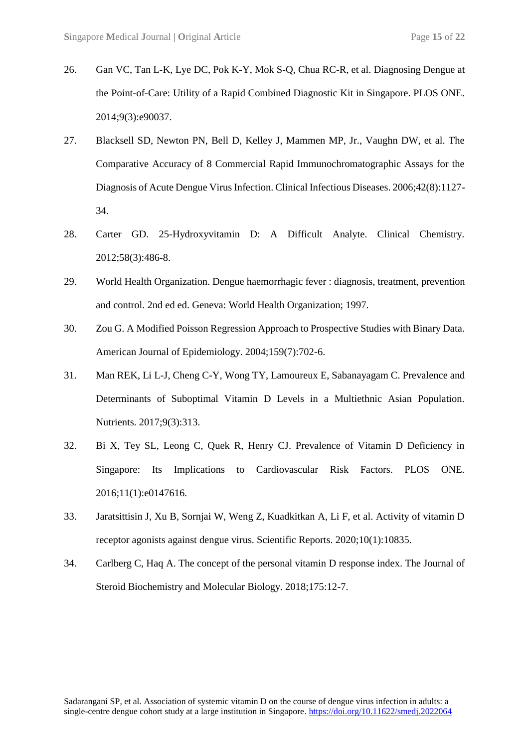- 26. Gan VC, Tan L-K, Lye DC, Pok K-Y, Mok S-Q, Chua RC-R, et al. Diagnosing Dengue at the Point-of-Care: Utility of a Rapid Combined Diagnostic Kit in Singapore. PLOS ONE. 2014;9(3):e90037.
- 27. Blacksell SD, Newton PN, Bell D, Kelley J, Mammen MP, Jr., Vaughn DW, et al. The Comparative Accuracy of 8 Commercial Rapid Immunochromatographic Assays for the Diagnosis of Acute Dengue Virus Infection. Clinical Infectious Diseases. 2006;42(8):1127- 34.
- 28. Carter GD. 25-Hydroxyvitamin D: A Difficult Analyte. Clinical Chemistry. 2012;58(3):486-8.
- 29. World Health Organization. Dengue haemorrhagic fever : diagnosis, treatment, prevention and control. 2nd ed ed. Geneva: World Health Organization; 1997.
- 30. Zou G. A Modified Poisson Regression Approach to Prospective Studies with Binary Data. American Journal of Epidemiology. 2004;159(7):702-6.
- 31. Man REK, Li L-J, Cheng C-Y, Wong TY, Lamoureux E, Sabanayagam C. Prevalence and Determinants of Suboptimal Vitamin D Levels in a Multiethnic Asian Population. Nutrients. 2017;9(3):313.
- 32. Bi X, Tey SL, Leong C, Quek R, Henry CJ. Prevalence of Vitamin D Deficiency in Singapore: Its Implications to Cardiovascular Risk Factors. PLOS ONE. 2016;11(1):e0147616.
- 33. Jaratsittisin J, Xu B, Sornjai W, Weng Z, Kuadkitkan A, Li F, et al. Activity of vitamin D receptor agonists against dengue virus. Scientific Reports. 2020;10(1):10835.
- 34. Carlberg C, Haq A. The concept of the personal vitamin D response index. The Journal of Steroid Biochemistry and Molecular Biology. 2018;175:12-7.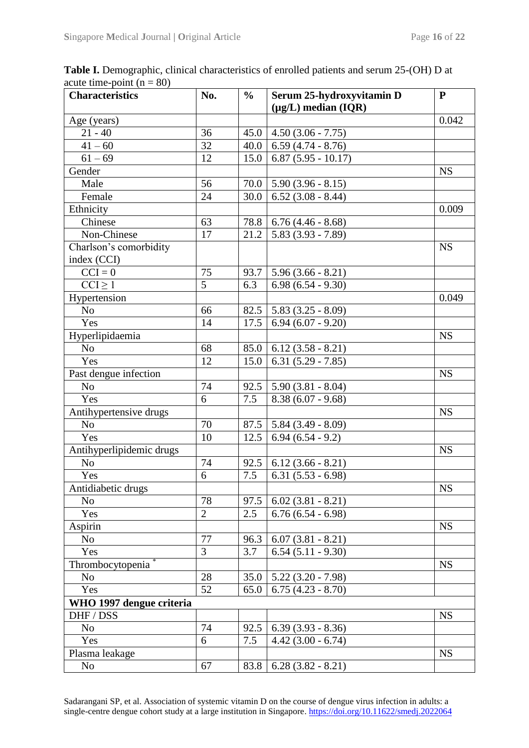| <b>Characteristics</b>   | No.            | $\frac{0}{0}$ | Serum 25-hydroxyvitamin D   | ${\bf P}$ |
|--------------------------|----------------|---------------|-----------------------------|-----------|
|                          |                |               | $(\mu g/L)$ median (IQR)    |           |
| Age (years)              |                |               |                             | 0.042     |
| $21 - 40$                | 36             | 45.0          | $4.50(3.06 - 7.75)$         |           |
| $41 - 60$                | 32             | 40.0          | $6.59(4.74 - 8.76)$         |           |
| $61 - 69$                | 12             | 15.0          | $6.87(5.95 - 10.17)$        |           |
| Gender                   |                |               |                             | <b>NS</b> |
| Male                     | 56             |               | $70.0$   5.90 (3.96 - 8.15) |           |
| Female                   | 24             | 30.0          | $6.52(3.08 - 8.44)$         |           |
| Ethnicity                |                |               |                             | 0.009     |
| Chinese                  | 63             | 78.8          | $6.76(4.46 - 8.68)$         |           |
| Non-Chinese              | 17             | 21.2          | $5.83(3.93 - 7.89)$         |           |
| Charlson's comorbidity   |                |               |                             | <b>NS</b> |
| index (CCI)              |                |               |                             |           |
| $CCI = 0$                | 75             | 93.7          | $5.96(3.66 - 8.21)$         |           |
| $CCI \geq 1$             | $\overline{5}$ | 6.3           | $6.98(6.54 - 9.30)$         |           |
| Hypertension             |                |               |                             | 0.049     |
| N <sub>o</sub>           | 66             | 82.5          | $5.83(3.25 - 8.09)$         |           |
| Yes                      | 14             | 17.5          | $6.94(6.07 - 9.20)$         |           |
| Hyperlipidaemia          |                |               |                             | <b>NS</b> |
| N <sub>o</sub>           | 68             | 85.0          | $6.12(3.58 - 8.21)$         |           |
| Yes                      | 12             | 15.0          | $6.31(5.29 - 7.85)$         |           |
| Past dengue infection    |                |               |                             | <b>NS</b> |
| No                       | 74             | 92.5          | $5.90(3.81 - 8.04)$         |           |
| Yes                      | 6              | 7.5           | $8.38(6.07 - 9.68)$         |           |
| Antihypertensive drugs   |                |               |                             | <b>NS</b> |
| N <sub>o</sub>           | 70             | 87.5          | $5.84(3.49 - 8.09)$         |           |
| Yes                      | 10             | 12.5          | $6.94(6.54-9.2)$            |           |
| Antihyperlipidemic drugs |                |               |                             | <b>NS</b> |
| No                       | 74             | 92.5          | $6.12(3.66 - 8.21)$         |           |
| Yes                      | 6              | 7.5           | $6.31(5.53 - 6.98)$         |           |
| Antidiabetic drugs       |                |               |                             | NS        |
| N <sub>0</sub>           | 78             | 97.5          | $6.02(3.81 - 8.21)$         |           |
| Yes                      | $\overline{2}$ | 2.5           | $6.76(6.54 - 6.98)$         |           |
| Aspirin                  |                |               |                             | <b>NS</b> |
| N <sub>o</sub>           | 77             | 96.3          | $6.07(3.81 - 8.21)$         |           |
| Yes                      | 3              | 3.7           | $6.54(5.11 - 9.30)$         |           |
| Thrombocytopenia         |                |               |                             | <b>NS</b> |
| N <sub>o</sub>           | 28             | 35.0          | $5.22(3.20 - 7.98)$         |           |
| Yes                      | 52             | 65.0          | $6.75(4.23 - 8.70)$         |           |
| WHO 1997 dengue criteria |                |               |                             |           |
| DHF / DSS                |                |               |                             | <b>NS</b> |
| N <sub>o</sub>           | 74             | 92.5          | $6.39(3.93 - 8.36)$         |           |
| Yes                      | 6              | 7.5           | $4.42(3.00 - 6.74)$         |           |
| Plasma leakage           |                |               |                             | <b>NS</b> |
| N <sub>0</sub>           | 67             | 83.8          | $6.28(3.82 - 8.21)$         |           |

Table I. Demographic, clinical characteristics of enrolled patients and serum 25-(OH) D at acute time-point  $(n = 80)$ 

Sadarangani SP, et al. Association of systemic vitamin D on the course of dengue virus infection in adults: a single-centre dengue cohort study at a large institution in Singapore. https://doi.org/10.11622/smedj.2022064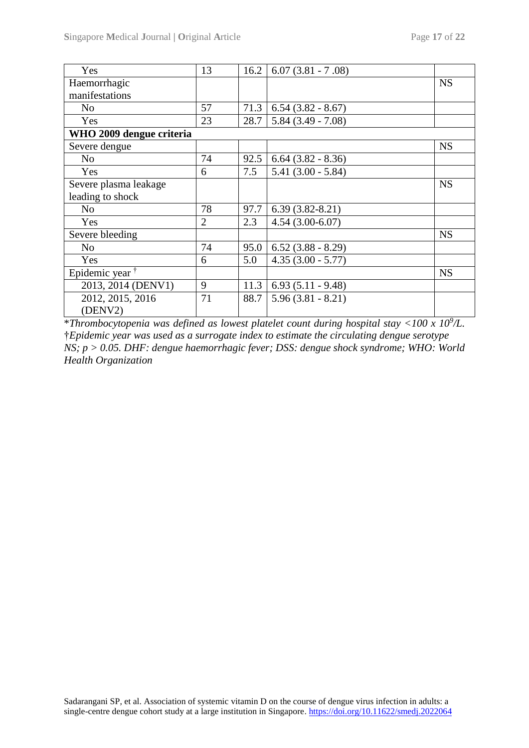| Yes                        | 13             | 16.2 | $6.07(3.81 - 7.08)$    |           |
|----------------------------|----------------|------|------------------------|-----------|
| Haemorrhagic               |                |      |                        | <b>NS</b> |
| manifestations             |                |      |                        |           |
| N <sub>0</sub>             | 57             | 71.3 | $6.54(3.82 - 8.67)$    |           |
| Yes                        | 23             | 28.7 | $5.84(3.49 - 7.08)$    |           |
| WHO 2009 dengue criteria   |                |      |                        |           |
| Severe dengue              |                |      |                        | <b>NS</b> |
| N <sub>0</sub>             | 74             | 92.5 | $6.64$ $(3.82 - 8.36)$ |           |
| Yes                        | 6              | 7.5  | $5.41(3.00 - 5.84)$    |           |
| Severe plasma leakage      |                |      |                        | <b>NS</b> |
| leading to shock           |                |      |                        |           |
| N <sub>0</sub>             | 78             | 97.7 | $6.39(3.82 - 8.21)$    |           |
| Yes                        | $\overline{2}$ | 2.3  | $4.54(3.00-6.07)$      |           |
| Severe bleeding            |                |      |                        | <b>NS</b> |
| N <sub>0</sub>             | 74             | 95.0 | $6.52(3.88 - 8.29)$    |           |
| Yes                        | 6              | 5.0  | $4.35(3.00 - 5.77)$    |           |
| Epidemic year <sup>†</sup> |                |      |                        | <b>NS</b> |
| 2013, 2014 (DENV1)         | 9              | 11.3 | $6.93(5.11 - 9.48)$    |           |
| 2012, 2015, 2016           | 71             | 88.7 | $5.96(3.81 - 8.21)$    |           |
| (DENV2)                    |                |      |                        |           |

\**Thrombocytopenia was defined as lowest platelet count during hospital stay <100 x 10<sup>9</sup> /L.*  †*Epidemic year was used as a surrogate index to estimate the circulating dengue serotype NS; p > 0.05. DHF: dengue haemorrhagic fever; DSS: dengue shock syndrome; WHO: World Health Organization*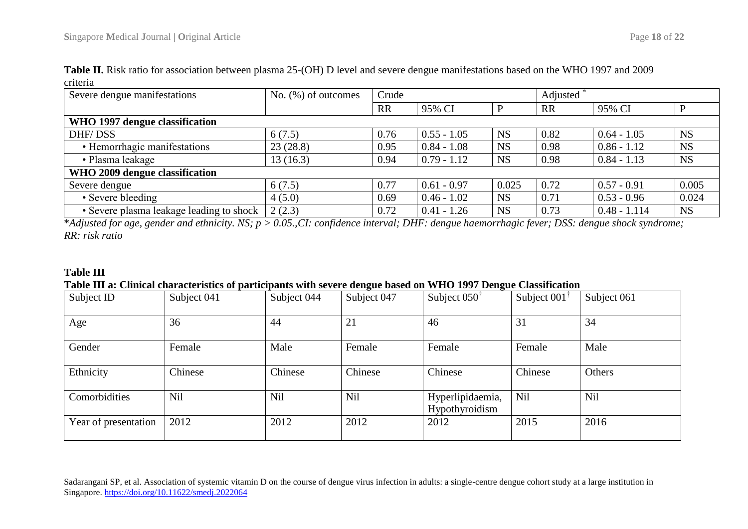| Severe dengue manifestations             | No. $(\%)$ of outcomes | Crude     |               |           | Adjusted  |                |           |
|------------------------------------------|------------------------|-----------|---------------|-----------|-----------|----------------|-----------|
|                                          |                        | <b>RR</b> | 95% CI        |           | <b>RR</b> | 95% CI         |           |
| WHO 1997 dengue classification           |                        |           |               |           |           |                |           |
| DHF/DSS                                  | 6(7.5)                 | 0.76      | $0.55 - 1.05$ | <b>NS</b> | 0.82      | $0.64 - 1.05$  | <b>NS</b> |
| • Hemorrhagic manifestations             | 23(28.8)               | 0.95      | $0.84 - 1.08$ | <b>NS</b> | 0.98      | $0.86 - 1.12$  | <b>NS</b> |
| • Plasma leakage                         | 13(16.3)               | 0.94      | $0.79 - 1.12$ | <b>NS</b> | 0.98      | $0.84 - 1.13$  | <b>NS</b> |
| WHO 2009 dengue classification           |                        |           |               |           |           |                |           |
| Severe dengue                            | 6(7.5)                 | 0.77      | $0.61 - 0.97$ | 0.025     | 0.72      | $0.57 - 0.91$  | 0.005     |
| • Severe bleeding                        | 4(5.0)                 | 0.69      | $0.46 - 1.02$ | <b>NS</b> | 0.71      | $0.53 - 0.96$  | 0.024     |
| • Severe plasma leakage leading to shock | 2(2.3)                 | 0.72      | $0.41 - 1.26$ | <b>NS</b> | 0.73      | $0.48 - 1.114$ | <b>NS</b> |

**Table II.** Risk ratio for association between plasma 25-(OH) D level and severe dengue manifestations based on the WHO 1997 and 2009 criteria

\**Adjusted for age, gender and ethnicity. NS; p > 0.05.,CI: confidence interval; DHF: dengue haemorrhagic fever; DSS: dengue shock syndrome; RR: risk ratio*

# **Table III**

## **Table III a: Clinical characteristics of participants with severe dengue based on WHO 1997 Dengue Classification**

| Subject ID           | Subject 041 | Subject 044 | Subject 047 | Subject $050^{\dagger}$            | Subject $001^{\dagger}$ | Subject 061 |
|----------------------|-------------|-------------|-------------|------------------------------------|-------------------------|-------------|
| Age                  | 36          | 44          | 21          | 46                                 | 31                      | 34          |
| Gender               | Female      | Male        | Female      | Female                             | Female                  | Male        |
| Ethnicity            | Chinese     | Chinese     | Chinese     | Chinese                            | Chinese                 | Others      |
| Comorbidities        | Nil         | Nil         | Nil         | Hyperlipidaemia,<br>Hypothyroidism | Nil                     | <b>Nil</b>  |
| Year of presentation | 2012        | 2012        | 2012        | 2012                               | 2015                    | 2016        |

Sadarangani SP, et al. Association of systemic vitamin D on the course of dengue virus infection in adults: a single-centre dengue cohort study at a large institution in Singapore. https://doi.org/10.11622/smedj.2022064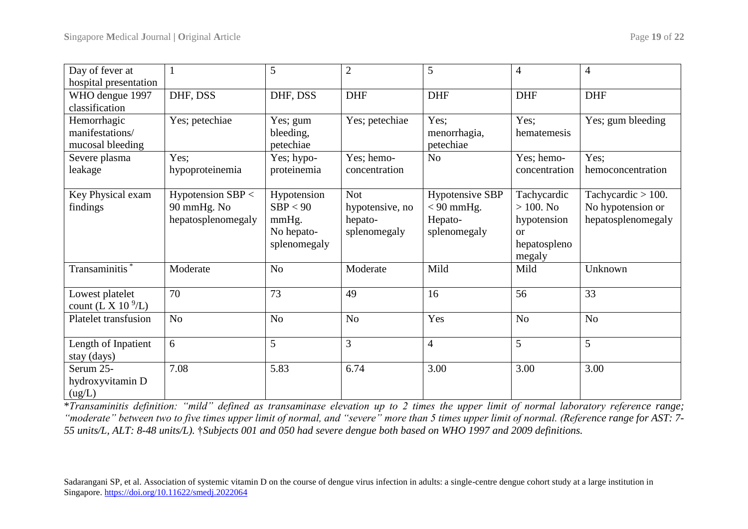| Day of fever at              |                    | 5              | $\overline{2}$  | $\mathfrak{S}$         | $\overline{4}$ | $\overline{4}$        |
|------------------------------|--------------------|----------------|-----------------|------------------------|----------------|-----------------------|
| hospital presentation        |                    |                |                 |                        |                |                       |
| WHO dengue 1997              | DHF, DSS           | DHF, DSS       | <b>DHF</b>      | <b>DHF</b>             | <b>DHF</b>     | <b>DHF</b>            |
| classification               |                    |                |                 |                        |                |                       |
| Hemorrhagic                  | Yes; petechiae     | Yes; gum       | Yes; petechiae  | Yes;                   | Yes;           | Yes; gum bleeding     |
| manifestations/              |                    | bleeding,      |                 | menorrhagia,           | hematemesis    |                       |
| mucosal bleeding             |                    | petechiae      |                 | petechiae              |                |                       |
| Severe plasma                | Yes;               | Yes; hypo-     | Yes; hemo-      | N <sub>o</sub>         | Yes; hemo-     | Yes:                  |
| leakage                      | hypoproteinemia    | proteinemia    | concentration   |                        | concentration  | hemoconcentration     |
|                              |                    |                |                 |                        |                |                       |
| Key Physical exam            | Hypotension SBP <  | Hypotension    | <b>Not</b>      | <b>Hypotensive SBP</b> | Tachycardic    | Tachycardic $> 100$ . |
| findings                     | 90 mmHg. No        | SBP < 90       | hypotensive, no | $< 90$ mmHg.           | $> 100.$ No    | No hypotension or     |
|                              | hepatosplenomegaly | mmHg.          | hepato-         | Hepato-                | hypotension    | hepatosplenomegaly    |
|                              |                    | No hepato-     | splenomegaly    | splenomegaly           | or             |                       |
|                              |                    | splenomegaly   |                 |                        | hepatospleno   |                       |
|                              |                    |                |                 |                        | megaly         |                       |
| Transaminitis <sup>'</sup>   | Moderate           | N <sub>o</sub> | Moderate        | Mild                   | Mild           | Unknown               |
|                              |                    |                |                 |                        |                |                       |
| Lowest platelet              | 70                 | 73             | 49              | 16                     | 56             | 33                    |
| count (L X $10\frac{9}{L}$ ) |                    |                |                 |                        |                |                       |
| <b>Platelet transfusion</b>  | N <sub>o</sub>     | N <sub>o</sub> | N <sub>o</sub>  | Yes                    | N <sub>o</sub> | N <sub>o</sub>        |
|                              |                    |                |                 |                        |                |                       |
| Length of Inpatient          | 6                  | 5              | 3               | $\overline{4}$         | 5              | 5                     |
| stay (days)                  |                    |                |                 |                        |                |                       |
| Serum 25-                    | 7.08               | 5.83           | 6.74            | 3.00                   | 3.00           | 3.00                  |
| hydroxyvitamin D             |                    |                |                 |                        |                |                       |
| (ug/L)                       |                    |                |                 |                        |                |                       |

\**Transaminitis definition: "mild" defined as transaminase elevation up to 2 times the upper limit of normal laboratory reference range; "moderate" between two to five times upper limit of normal, and "severe" more than 5 times upper limit of normal. (Reference range for AST: 7- 55 units/L, ALT: 8-48 units/L).* †*Subjects 001 and 050 had severe dengue both based on WHO 1997 and 2009 definitions.*

Sadarangani SP, et al. Association of systemic vitamin D on the course of dengue virus infection in adults: a single-centre dengue cohort study at a large institution in Singapore. https://doi.org/10.11622/smedj.2022064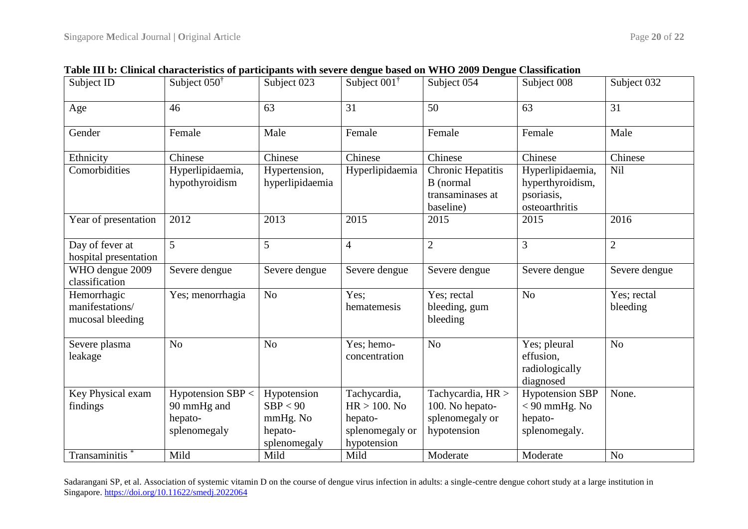| Subject ID                                         | Subject $050^{\dagger}$            | Subject 023                      | Subject 001 <sup>†</sup>       | Subject 054                                                     | Subject 008                                                          | Subject 032             |
|----------------------------------------------------|------------------------------------|----------------------------------|--------------------------------|-----------------------------------------------------------------|----------------------------------------------------------------------|-------------------------|
| Age                                                | 46                                 | 63                               | 31                             | 50                                                              | 63                                                                   | 31                      |
| Gender                                             | Female                             | Male                             | Female                         | Female                                                          | Female                                                               | Male                    |
| Ethnicity                                          | Chinese                            | Chinese                          | Chinese                        | Chinese                                                         | Chinese                                                              | Chinese                 |
| Comorbidities                                      | Hyperlipidaemia,<br>hypothyroidism | Hypertension,<br>hyperlipidaemia | Hyperlipidaemia                | Chronic Hepatitis<br>B (normal<br>transaminases at<br>baseline) | Hyperlipidaemia,<br>hyperthyroidism,<br>psoriasis,<br>osteoarthritis | Nil                     |
| Year of presentation                               | 2012                               | 2013                             | 2015                           | 2015                                                            | 2015                                                                 | 2016                    |
| Day of fever at<br>hospital presentation           | 5 <sup>5</sup>                     | 5                                | $\overline{4}$                 | $\overline{2}$                                                  | $\overline{3}$                                                       | $\overline{2}$          |
| WHO dengue 2009<br>classification                  | Severe dengue                      | Severe dengue                    | Severe dengue                  | Severe dengue                                                   | Severe dengue                                                        | Severe dengue           |
| Hemorrhagic<br>manifestations/<br>mucosal bleeding | Yes; menorrhagia                   | N <sub>o</sub>                   | Yes:<br>hematemesis            | Yes; rectal<br>bleeding, gum<br>bleeding                        | N <sub>o</sub>                                                       | Yes; rectal<br>bleeding |
| Severe plasma<br>leakage                           | N <sub>o</sub>                     | N <sub>o</sub>                   | Yes; hemo-<br>concentration    | N <sub>o</sub>                                                  | Yes; pleural<br>effusion,<br>radiologically<br>diagnosed             | N <sub>o</sub>          |
| Key Physical exam                                  | Hypotension $SBP <$                | Hypotension                      | Tachycardia,                   | Tachycardia, HR >                                               | <b>Hypotension SBP</b>                                               | None.                   |
| findings                                           | 90 mmHg and                        | SBP < 90                         | $HR > 100$ . No                | 100. No hepato-                                                 | $< 90$ mmHg. No                                                      |                         |
|                                                    | hepato-                            | mmHg. No                         | hepato-                        | splenomegaly or                                                 | hepato-                                                              |                         |
|                                                    | splenomegaly                       | hepato-<br>splenomegaly          | splenomegaly or<br>hypotension | hypotension                                                     | splenomegaly.                                                        |                         |
| Transaminitis                                      | Mild                               | Mild                             | Mild                           | Moderate                                                        | Moderate                                                             | N <sub>o</sub>          |

**Table III b: Clinical characteristics of participants with severe dengue based on WHO 2009 Dengue Classification**

Sadarangani SP, et al. Association of systemic vitamin D on the course of dengue virus infection in adults: a single-centre dengue cohort study at a large institution in Singapore. https://doi.org/10.11622/smedj.2022064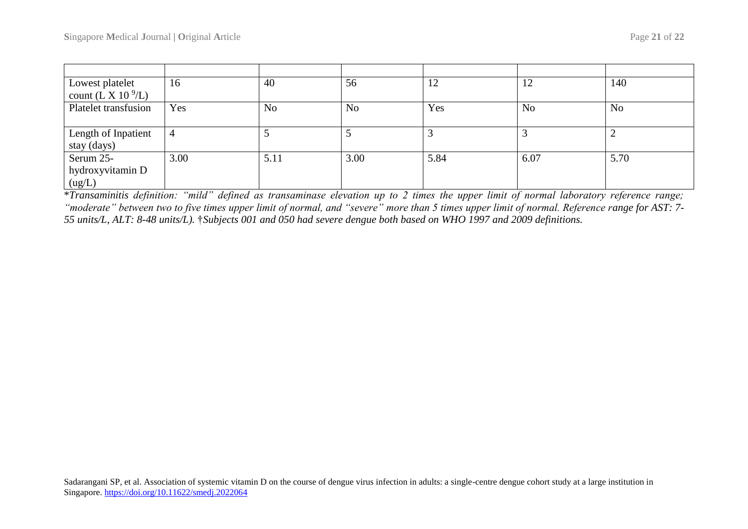| Lowest platelet<br>count (L X 10 $^9$ /L) | 16   | 40             | 56             | 12   | 12             | 140            |
|-------------------------------------------|------|----------------|----------------|------|----------------|----------------|
| Platelet transfusion                      | Yes  | N <sub>o</sub> | N <sub>o</sub> | Yes  | N <sub>o</sub> | N <sub>o</sub> |
| Length of Inpatient<br>stay (days)        | 4    |                |                |      |                |                |
| Serum 25-<br>hydroxyvitamin D<br>(ug/L)   | 3.00 | 5.11           | 3.00           | 5.84 | 6.07           | 5.70           |

\**Transaminitis definition: "mild" defined as transaminase elevation up to 2 times the upper limit of normal laboratory reference range; "moderate" between two to five times upper limit of normal, and "severe" more than 5 times upper limit of normal. Reference range for AST: 7- 55 units/L, ALT: 8-48 units/L).* †*Subjects 001 and 050 had severe dengue both based on WHO 1997 and 2009 definitions.*